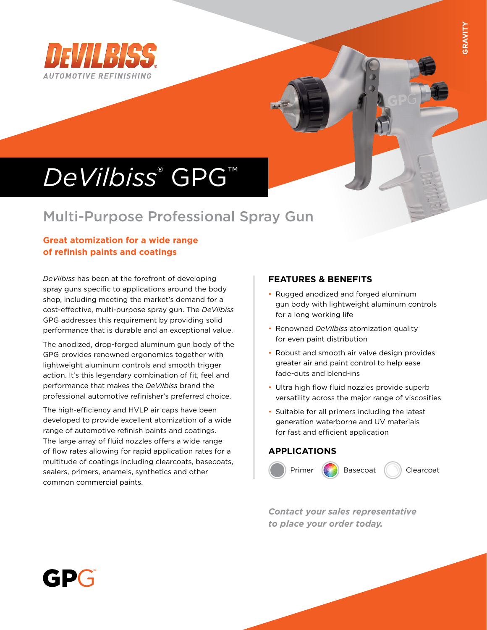

# *DeVilbiss*® GPG™

## Multi-Purpose Professional Spray Gun

#### **Great atomization for a wide range of refinish paints and coatings**

*DeVilbiss* has been at the forefront of developing spray guns specific to applications around the body shop, including meeting the market's demand for a cost-effective, multi-purpose spray gun. The *DeVilbiss* GPG addresses this requirement by providing solid performance that is durable and an exceptional value.

The anodized, drop-forged aluminum gun body of the GPG provides renowned ergonomics together with lightweight aluminum controls and smooth trigger action. It's this legendary combination of fit, feel and performance that makes the *DeVilbiss* brand the professional automotive refinisher's preferred choice.

The high-efficiency and HVLP air caps have been developed to provide excellent atomization of a wide range of automotive refinish paints and coatings. The large array of fluid nozzles offers a wide range of flow rates allowing for rapid application rates for a multitude of coatings including clearcoats, basecoats, sealers, primers, enamels, synthetics and other common commercial paints.

#### **FEATURES & BENEFITS**

- Rugged anodized and forged aluminum gun body with lightweight aluminum controls for a long working life
- Renowned *DeVilbiss* atomization quality for even paint distribution
- Robust and smooth air valve design provides greater air and paint control to help ease fade-outs and blend-ins
- Ultra high flow fluid nozzles provide superb versatility across the major range of viscosities
- Suitable for all primers including the latest generation waterborne and UV materials for fast and efficient application

#### **APPLICATIONS**



*Contact your sales representative to place your order today.*

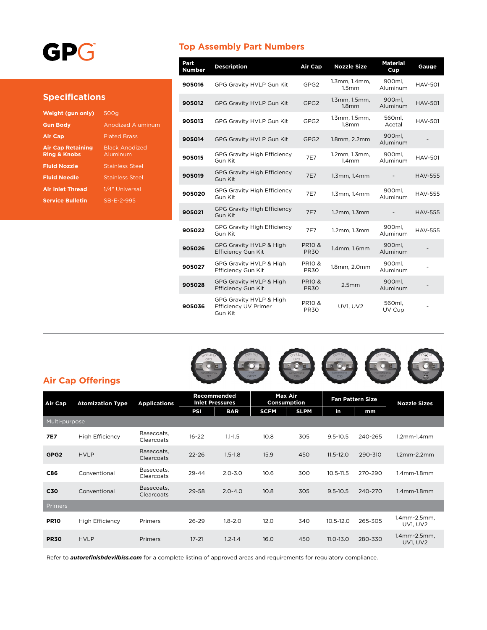## GPG

#### **Specifications**

| Weight (gun only)                                   | 500g                              |
|-----------------------------------------------------|-----------------------------------|
| <b>Gun Body</b>                                     | <b>Anodized Aluminum</b>          |
| <b>Air Cap</b>                                      | <b>Plated Brass</b>               |
| <b>Air Cap Retaining</b><br><b>Ring &amp; Knobs</b> | <b>Black Anodized</b><br>Aluminum |
| <b>Fluid Nozzle</b>                                 | <b>Stainless Steel</b>            |
| <b>Fluid Needle</b>                                 | <b>Stainless Steel</b>            |
| <b>Air Inlet Thread</b>                             | 1/4" Universal                    |
| <b>Service Bulletin</b>                             | SB-F-2-995                        |
|                                                     |                                   |

#### **Top Assembly Part Numbers**

| Part<br><b>Number</b> | <b>Description</b>                                         | Air Cap                          | <b>Nozzle Size</b>                 | <b>Material</b><br>Cup | Gauge          |
|-----------------------|------------------------------------------------------------|----------------------------------|------------------------------------|------------------------|----------------|
| 905016                | GPG Gravity HVLP Gun Kit                                   | GPG <sub>2</sub>                 | 1.3mm, 1.4mm,<br>1.5mm             | 900ml,<br>Aluminum     | HAV-501        |
| 905012                | GPG Gravity HVLP Gun Kit                                   | GPG <sub>2</sub>                 | 1.3mm, 1.5mm,<br>1.8 <sub>mm</sub> | 900ml,<br>Aluminum     | <b>HAV-501</b> |
| 905013                | <b>GPG Gravity HVLP Gun Kit</b>                            | GPG2                             | 1.3mm, 1.5mm,<br>1.8 <sub>mm</sub> | 560ml.<br>Acetal       | <b>HAV-501</b> |
| 905014                | GPG Gravity HVLP Gun Kit                                   | GPG <sub>2</sub>                 | 1.8mm, 2.2mm                       | 900ml,<br>Aluminum     |                |
| 905015                | <b>GPG Gravity High Efficiency</b><br>Gun Kit              | 7E7                              | 1.2mm, 1.3mm,<br>1.4 <sub>mm</sub> | 900ml.<br>Aluminum     | <b>HAV-501</b> |
| 905019                | <b>GPG Gravity High Efficiency</b><br>Gun Kit              | 7E7                              | $1.3$ mm, $1.4$ mm                 |                        | <b>HAV-555</b> |
| 905020                | <b>GPG Gravity High Efficiency</b><br>Gun Kit              | 7E7                              | $1.3$ mm, $1.4$ mm                 | 900ml.<br>Aluminum     | <b>HAV-555</b> |
| 905021                | <b>GPG Gravity High Efficiency</b><br>Gun Kit              | 7E7                              | 1.2mm, 1.3mm                       |                        | <b>HAV-555</b> |
| 905022                | <b>GPG Gravity High Efficiency</b><br>Gun Kit              | 7E7                              | 1.2mm, 1.3mm                       | 900ml.<br>Aluminum     | <b>HAV-555</b> |
| 905026                | GPG Gravity HVLP & High<br><b>Efficiency Gun Kit</b>       | <b>PR10 &amp;</b><br><b>PR30</b> | 1.4mm, 1.6mm                       | 900ml,<br>Aluminum     |                |
| 905027                | GPG Gravity HVLP & High<br><b>Efficiency Gun Kit</b>       | <b>PR10 &amp;</b><br><b>PR30</b> | 1.8mm, 2.0mm                       | 900ml.<br>Aluminum     |                |
| 905028                | GPG Gravity HVLP & High<br><b>Efficiency Gun Kit</b>       | <b>PR10 &amp;</b><br><b>PR30</b> | 2.5mm                              | 900ml,<br>Aluminum     |                |
| 905036                | GPG Gravity HVLP & High<br>Efficiency UV Primer<br>Gun Kit | <b>PR10 &amp;</b><br><b>PR30</b> | <b>UV1. UV2</b>                    | 560ml.<br>UV Cup       |                |



#### **Air Cap Offerings**

| Air Cap          | <b>Atomization Type</b> | <b>Applications</b>      | Recommended<br><b>Inlet Pressures</b> |             | <b>Max Air</b><br>Consumption |             | <b>Fan Pattern Size</b> |         | <b>Nozzle Sizes</b>             |  |
|------------------|-------------------------|--------------------------|---------------------------------------|-------------|-------------------------------|-------------|-------------------------|---------|---------------------------------|--|
|                  |                         |                          | PSI                                   | <b>BAR</b>  | <b>SCFM</b>                   | <b>SLPM</b> | in.                     | mm      |                                 |  |
| Multi-purpose    |                         |                          |                                       |             |                               |             |                         |         |                                 |  |
| <b>7E7</b>       | <b>High Efficiency</b>  | Basecoats,<br>Clearcoats | $16 - 22$                             | $1.1 - 1.5$ | 10.8                          | 305         | $9.5 - 10.5$            | 240-265 | $1.2$ mm- $1.4$ mm              |  |
| GPG <sub>2</sub> | <b>HVLP</b>             | Basecoats,<br>Clearcoats | $22 - 26$                             | $1.5 - 1.8$ | 15.9                          | 450         | $11.5 - 12.0$           | 290-310 | $1.2$ mm $-2.2$ mm              |  |
| <b>C86</b>       | Conventional            | Basecoats,<br>Clearcoats | $29 - 44$                             | $2.0 - 3.0$ | 10.6                          | 300         | $10.5 - 11.5$           | 270-290 | $1.4$ mm- $1.8$ mm              |  |
| C30              | Conventional            | Basecoats,<br>Clearcoats | 29-58                                 | $2.0 - 4.0$ | 10.8                          | 305         | $9.5 - 10.5$            | 240-270 | $1.4$ mm $-1.8$ mm              |  |
| <b>Primers</b>   |                         |                          |                                       |             |                               |             |                         |         |                                 |  |
| <b>PR10</b>      | <b>High Efficiency</b>  | Primers                  | $26 - 29$                             | $1.8 - 2.0$ | 12.0                          | 340         | 10.5-12.0               | 265-305 | 1.4mm-2.5mm,<br><b>UV1, UV2</b> |  |
| <b>PR30</b>      | <b>HVLP</b>             | <b>Primers</b>           | $17 - 21$                             | $1.2 - 1.4$ | 16.0                          | 450         | $11.0 - 13.0$           | 280-330 | 1.4mm-2.5mm,<br><b>UV1, UV2</b> |  |

Refer to *autorefinishdevilbiss.com* for a complete listing of approved areas and requirements for regulatory compliance.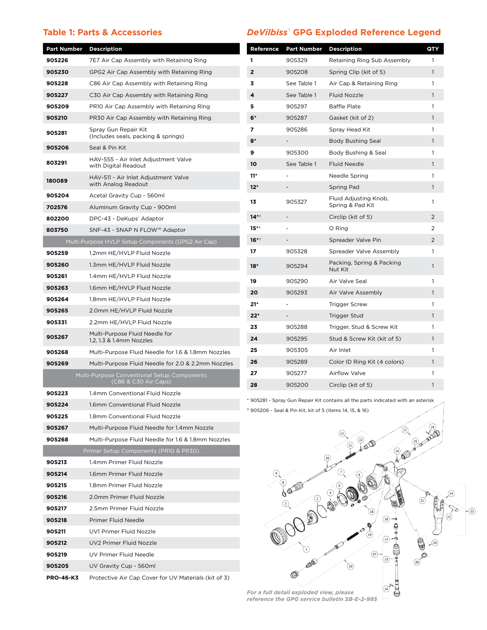#### **Table 1: Parts & Accessories**

#### *DeVilbiss***® GPG Exploded Reference Legend**

| Part Number                          | <b>Description</b>                                          | Reference               | <b>Part Number</b>       | <b>Description</b>                                                                | QTY                 |
|--------------------------------------|-------------------------------------------------------------|-------------------------|--------------------------|-----------------------------------------------------------------------------------|---------------------|
| 905226                               | 7E7 Air Cap Assembly with Retaining Ring                    | 1                       | 905329                   | Retaining Ring Sub Assembly                                                       | $\mathbf{1}$        |
| 905230                               | GPG2 Air Cap Assembly with Retaining Ring                   | $\overline{\mathbf{2}}$ | 905208                   | Spring Clip (kit of 5)                                                            | $\mathbf{1}$        |
| 905228                               | C86 Air Cap Assembly with Retaining Ring                    | 3                       | See Table 1              | Air Cap & Retaining Ring                                                          | $\mathbf{1}$        |
| 905227                               | C30 Air Cap Assembly with Retaining Ring                    | 4                       | See Table 1              | Fluid Nozzle                                                                      | $\mathbf{1}$        |
| 905209                               | PR10 Air Cap Assembly with Retaining Ring                   | 5                       | 905297                   | <b>Baffle Plate</b>                                                               | 1                   |
| 905210                               | PR30 Air Cap Assembly with Retaining Ring                   | $6*$                    | 905287                   | Gasket (kit of 2)                                                                 | $\mathbf{1}$        |
| 905281                               | Spray Gun Repair Kit<br>(Includes seals, packing & springs) | $\overline{ }$          | 905286                   | Spray Head Kit                                                                    | 1                   |
| 905206                               | Seal & Pin Kit                                              | $8*$                    | $\sim$                   | Body Bushing Seal                                                                 | $\mathbf{1}$        |
|                                      | HAV-555 - Air Inlet Adjustment Valve                        | 9                       | 905300                   | Body Bushing & Seal                                                               | 1                   |
| 803291                               | with Digital Readout                                        | 10                      | See Table 1              | Fluid Needle                                                                      | $\mathbf{1}$        |
| 180089                               | HAV-511 - Air Inlet Adjustment Valve                        | $11*$                   | $\overline{\phantom{a}}$ | Needle Spring                                                                     | 1                   |
|                                      | with Analog Readout                                         | $12*$                   |                          | Spring Pad                                                                        | $\mathbf{1}$        |
| 905204                               | Acetal Gravity Cup - 560ml                                  | 13                      | 905327                   | Fluid Adjusting Knob,                                                             | 1                   |
| 702576                               | Aluminum Gravity Cup - 900ml                                |                         |                          | Spring & Pad Kit                                                                  |                     |
| 802200                               | DPC-43 - DeKups' Adaptor                                    | $14**$<br>$15***$       |                          | Circlip (kit of 5)                                                                | $\overline{2}$<br>2 |
| 803750                               | SNF-43 - SNAP N FLOW™ Adaptor                               |                         |                          | O Ring                                                                            |                     |
|                                      | Multi-Purpose HVLP Setup Components (GPG2 Air Cap)          | $16**$                  |                          | Spreader Valve Pin                                                                | $\overline{2}$      |
| 905259                               | 1.2mm HE/HVLP Fluid Nozzle                                  | 17                      | 905328                   | Spreader Valve Assembly                                                           | $\mathbf{1}$        |
| 905260                               | 1.3mm HE/HVLP Fluid Nozzle                                  | $18*$                   | 905294                   | Packing, Spring & Packing<br>Nut Kit                                              | 1                   |
| 905261                               | 1.4mm HE/HVLP Fluid Nozzle                                  | 19                      | 905290                   | Air Valve Seal                                                                    | 1                   |
| 905263                               | 1.6mm HE/HVLP Fluid Nozzle                                  | 20                      | 905293                   | Air Valve Assembly                                                                | $\mathbf{1}$        |
| 905264                               | 1.8mm HE/HVLP Fluid Nozzle                                  | $21*$                   |                          | <b>Trigger Screw</b>                                                              | 1                   |
| 905265                               | 2.0mm HE/HVLP Fluid Nozzle                                  | $22*$                   |                          | <b>Trigger Stud</b>                                                               | $\mathbf{1}$        |
| 905331                               | 2.2mm HE/HVLP Fluid Nozzle                                  | 23                      | 905288                   | Trigger, Stud & Screw Kit                                                         | $\mathbf{1}$        |
| 905267                               | Multi-Purpose Fluid Needle for<br>1.2, 1.3 & 1.4mm Nozzles  | 24                      | 905295                   | Stud & Screw Kit (kit of 5)                                                       | $\mathbf{1}$        |
| 905268                               | Multi-Purpose Fluid Needle for 1.6 & 1.8mm Nozzles          | 25                      | 905305                   | Air Inlet                                                                         | 1                   |
| 905269                               | Multi-Purpose Fluid Needle for 2.0 & 2.2mm Nozzles          | 26                      | 905289                   | Color ID Ring Kit (4 colors)                                                      | $\mathbf{1}$        |
|                                      | Multi-Purpose Conventional Setup Components                 | 27                      | 905277                   | <b>Airflow Valve</b>                                                              | 1                   |
|                                      | (C86 & C30 Air Caps)                                        | 28                      | 905200                   | Circlip (kit of 5)                                                                | $\mathbf{1}$        |
| 905223                               | 1.4mm Conventional Fluid Nozzle                             |                         |                          |                                                                                   |                     |
| 905224                               | 1.6mm Conventional Fluid Nozzle                             |                         |                          | * 905281 - Spray Gun Repair Kit contains all the parts indicated with an asterisk |                     |
| 905225                               | 1.8mm Conventional Fluid Nozzle                             |                         |                          | † 905206 - Seal & Pin Kit, kit of 5 (Items 14, 15, & 16)                          |                     |
| 905267                               | Multi-Purpose Fluid Needle for 1.4mm Nozzle                 |                         |                          |                                                                                   |                     |
| 905268                               | Multi-Purpose Fluid Needle for 1.6 & 1.8mm Nozzles          |                         |                          |                                                                                   |                     |
|                                      | Primer Setup Components (PR10 & PR30)                       |                         |                          | `S)                                                                               |                     |
| 905213                               | 1.4mm Primer Fluid Nozzle                                   |                         |                          |                                                                                   |                     |
| 905214                               | 1.6mm Primer Fluid Nozzle                                   |                         |                          |                                                                                   |                     |
| 905215                               | 1.8mm Primer Fluid Nozzle                                   |                         |                          |                                                                                   |                     |
| 905216                               | 2.0mm Primer Fluid Nozzle                                   |                         | Q                        |                                                                                   |                     |
| 905217                               | 2.5mm Primer Fluid Nozzle                                   |                         |                          |                                                                                   |                     |
|                                      |                                                             |                         |                          |                                                                                   |                     |
|                                      | Primer Fluid Needle                                         |                         |                          |                                                                                   |                     |
|                                      | UV1 Primer Fluid Nozzle                                     |                         |                          |                                                                                   |                     |
|                                      | UV2 Primer Fluid Nozzle                                     |                         |                          | 19                                                                                |                     |
| 905218<br>905211<br>905212<br>905219 | UV Primer Fluid Needle                                      |                         |                          |                                                                                   |                     |
| 905205                               | UV Gravity Cup - 560ml                                      |                         |                          | $^{20}$                                                                           |                     |
| <b>PRO-46-K3</b>                     | Protective Air Cap Cover for UV Materials (kit of 3)        |                         |                          |                                                                                   |                     |

*For a full detail exploded view, please reference the GPG service bulletin SB-E-2-995*  $-(23)$